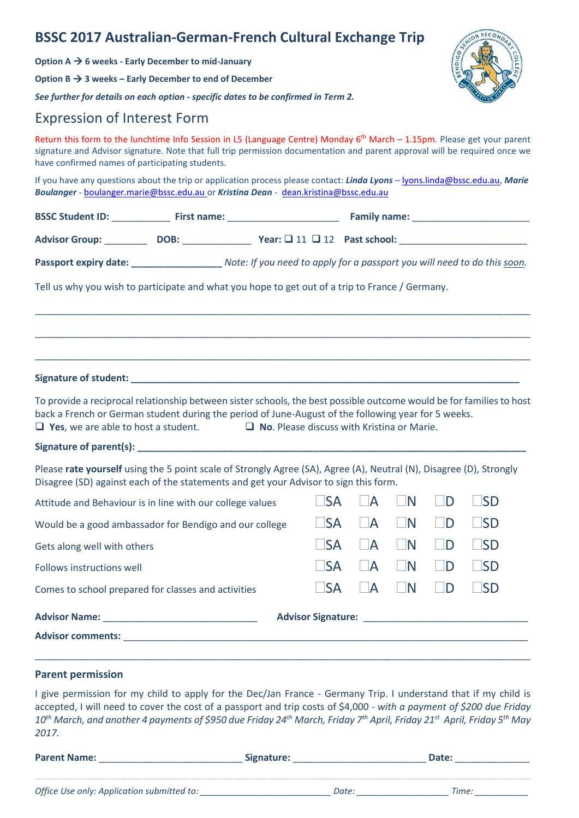## **BSSC 2017 Australian-German-French Cultural Exchange Trip**

**Option A 6 weeks - Early December to mid-January**

**Option B 3 weeks – Early December to end of December**

*See further for details on each option - specific dates to be confirmed in Term 2.*

## Expression of Interest Form

Return this form to the lunchtime Info Session in L5 (Language Centre) Monday  $6<sup>th</sup>$  March – 1.15pm. Please get your parent signature and Advisor signature. Note that full trip permission documentation and parent approval will be required once we have confirmed names of participating students.

If you have any questions about the trip or application process please contact: *Linda Lyons* – [lyons.linda@bssc.edu.au,](mailto:lyons.linda@bssc.edu.au) *Marie Boulanger* - [boulanger.marie@bssc.edu.au](mailto:boulanger.marie@bssc.edu.au) or *Kristina Dean* - [dean.kristina@bssc.edu.au](mailto:dean.kristina@bssc.edu.au)

| Passport expiry date: _____________________ Note: If you need to apply for a passport you will need to do this soon.                                                                                                                                                      |                                                   |                                                   |                         |              |           |
|---------------------------------------------------------------------------------------------------------------------------------------------------------------------------------------------------------------------------------------------------------------------------|---------------------------------------------------|---------------------------------------------------|-------------------------|--------------|-----------|
| Tell us why you wish to participate and what you hope to get out of a trip to France / Germany.                                                                                                                                                                           |                                                   |                                                   |                         |              |           |
|                                                                                                                                                                                                                                                                           |                                                   |                                                   |                         |              |           |
|                                                                                                                                                                                                                                                                           |                                                   |                                                   |                         |              |           |
| To provide a reciprocal relationship between sister schools, the best possible outcome would be for families to host<br>back a French or German student during the period of June-August of the following year for 5 weeks.<br>$\Box$ Yes, we are able to host a student. | $\Box$ No. Please discuss with Kristina or Marie. |                                                   |                         |              |           |
|                                                                                                                                                                                                                                                                           |                                                   |                                                   |                         |              |           |
| Please rate yourself using the 5 point scale of Strongly Agree (SA), Agree (A), Neutral (N), Disagree (D), Strongly<br>Disagree (SD) against each of the statements and get your Advisor to sign this form.                                                               |                                                   |                                                   |                         |              |           |
| Attitude and Behaviour is in line with our college values                                                                                                                                                                                                                 | l ISA                                             | $\mathsf{I}$ $\mathsf{A}$                         | $\Box$ N                | D            | $\Box$ SD |
| Would be a good ambassador for Bendigo and our college                                                                                                                                                                                                                    | ISA                                               | $\overline{\phantom{a}}$                          | $\blacksquare$          | $\mathsf{D}$ | $\Box$ SD |
| Gets along well with others                                                                                                                                                                                                                                               | $\Box$ SA                                         | $\mathsf{A}$                                      | $\Box N$                | $\mathsf{D}$ | $\Box$ SD |
|                                                                                                                                                                                                                                                                           |                                                   |                                                   |                         |              |           |
| Follows instructions well                                                                                                                                                                                                                                                 | l ISA                                             | $\mathsf{A}$                                      | $\blacksquare$          | <b>D</b>     | l ISD     |
| Comes to school prepared for classes and activities                                                                                                                                                                                                                       | <b>SA</b>                                         | $\overline{\phantom{a}}$ $\overline{\phantom{a}}$ | $\overline{\mathsf{N}}$ | ÌD           | $\Box$ SD |
|                                                                                                                                                                                                                                                                           | Advisor Signature: North Advisor Signature:       |                                                   |                         |              |           |

### **Parent permission**

I give permission for my child to apply for the Dec/Jan France - Germany Trip. I understand that if my child is accepted, I will need to cover the cost of a passport and trip costs of \$4,000 *- with a payment of \$200 due Friday 10 th March, and another 4 payments of \$950 due Friday 24th March, Friday 7th April, Friday 21st April, Friday 5 th May 2017.*

**Parent Name:** \_\_\_\_\_\_\_\_\_\_\_\_\_\_\_\_\_\_\_\_\_\_\_\_\_\_\_ **Signature:** \_\_\_\_\_\_\_\_\_\_\_\_\_\_\_\_\_\_\_\_\_\_\_\_\_ **Date:** \_\_\_\_\_\_\_\_\_\_\_\_\_\_ *Office Use only: Application submitted to: \_\_\_\_\_\_\_\_\_\_\_\_\_\_\_\_\_\_\_\_\_\_\_\_\_\_\_ Date: \_\_\_\_\_\_\_\_\_\_\_\_\_\_\_\_\_\_\_ Time: \_\_\_\_\_\_\_\_\_\_\_*